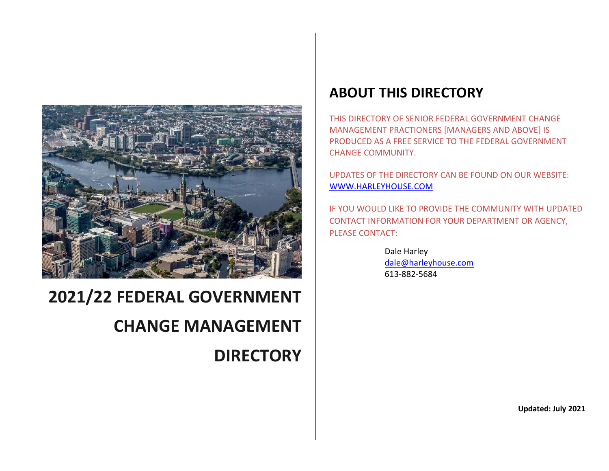

# **2021/22 FEDERAL GOVERNMENT**

## **CHANGE MANAGEMENT**

**DIRECTORY**

### **ABOUT THIS DIRECTORY**

THIS DIRECTORY OF SENIOR FEDERAL GOVERNMENT CHANGE MANAGEMENT PRACTIONERS [MANAGERS AND ABOVE] IS PRODUCED AS A FREE SERVICE TO THE FEDERAL GOVERNMENT CHANGE COMMUNITY.

UPDATES OF THE DIRECTORY CAN BE FOUND ON OUR WEBSITE: [WWW.HARLEYHOUSE.COM](http://www.harleyhouse.com/)

IF YOU WOULD LIKE TO PROVIDE THE COMMUNITY WITH UPDATED CONTACT INFORMATION FOR YOUR DEPARTMENT OR AGENCY, PLEASE CONTACT:

> Dale Harley [dale@harleyhouse.com](mailto:dale@harleyhouse.com) 613-882-5684

> > **Updated: July 2021**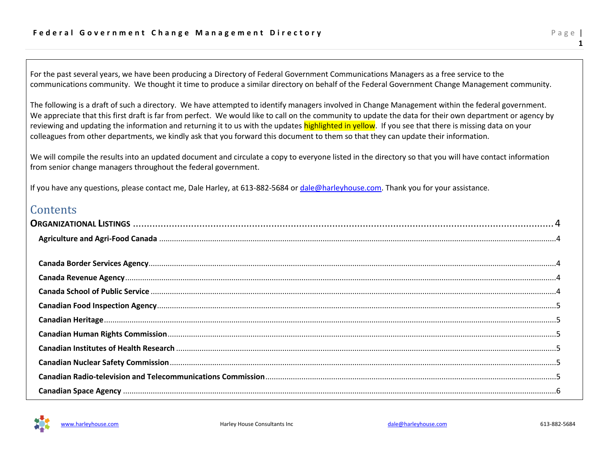For the past several years, we have been producing a Directory of Federal Government Communications Managers as a free service to the communications community. We thought it time to produce a similar directory on behalf of the Federal Government Change Management community.

The following is a draft of such a directory. We have attempted to identify managers involved in Change Management within the federal government. We appreciate that this first draft is far from perfect. We would like to call on the community to update the data for their own department or agency by reviewing and updating the information and returning it to us with the updates highlighted in yellow. If you see that there is missing data on your colleagues from other departments, we kindly ask that you forward this document to them so that they can update their information.

We will compile the results into an updated document and circulate a copy to everyone listed in the directory so that you will have contact information from senior change managers throughout the federal government.

If you have any questions, please contact me, Dale Harley, at 613-882-5684 or [dale@harleyhouse.com.](mailto:dale@harleyhouse.com) Thank you for your assistance.

#### **Contents**

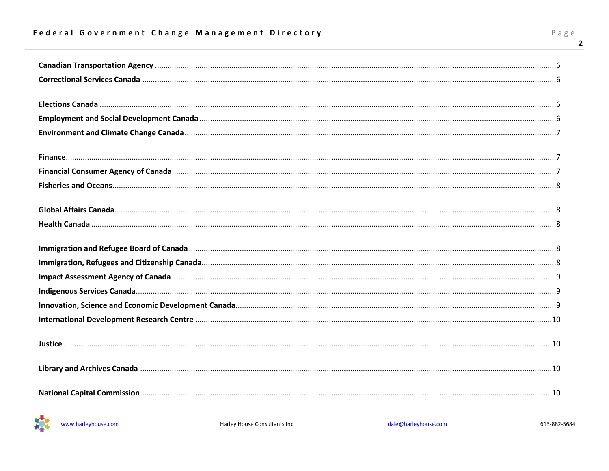| - | ×. |   |
|---|----|---|
|   |    | ₽ |

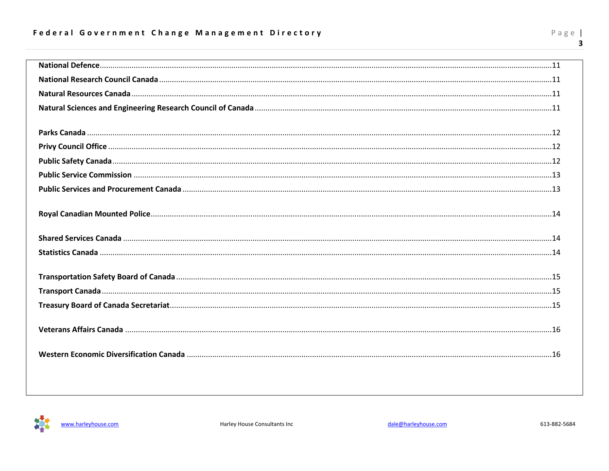#### Federal Government Change Management Directory

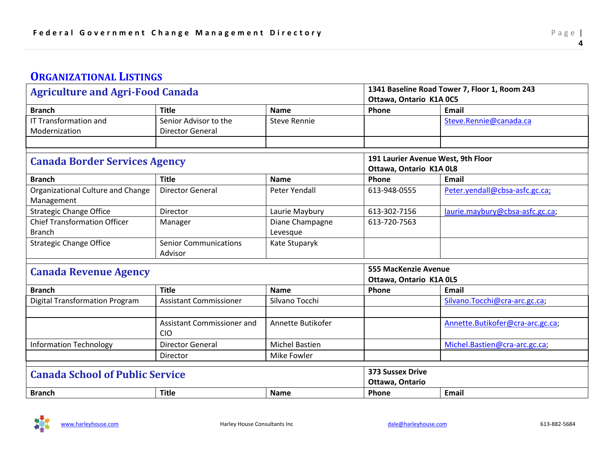#### <span id="page-4-0"></span>**ORGANIZATIONAL LISTINGS**

<span id="page-4-2"></span><span id="page-4-1"></span>

| Ottawa, Ontario K1A 0C5<br>Phone<br><b>Branch</b><br><b>Title</b><br><b>Name</b><br>Email<br><b>IT Transformation and</b><br>Senior Advisor to the<br><b>Steve Rennie</b><br>Steve.Rennie@canada.ca<br>Modernization<br><b>Director General</b><br>191 Laurier Avenue West, 9th Floor<br><b>Canada Border Services Agency</b><br>Ottawa, Ontario K1A 0L8<br><b>Title</b><br>Phone<br><b>Branch</b><br><b>Name</b><br>Email<br>Peter.yendall@cbsa-asfc.gc.ca;<br>Organizational Culture and Change<br><b>Director General</b><br>Peter Yendall<br>613-948-0555<br>Management<br><b>Strategic Change Office</b><br>laurie.maybury@cbsa-asfc.gc.ca;<br>Laurie Maybury<br>613-302-7156<br>Director<br><b>Chief Transformation Officer</b><br>Diane Champagne<br>613-720-7563<br>Manager<br><b>Branch</b><br>Levesque<br><b>Strategic Change Office</b><br><b>Senior Communications</b><br>Kate Stuparyk<br>Advisor<br><b>555 MacKenzie Avenue</b><br><b>Canada Revenue Agency</b><br>Ottawa, Ontario K1A 0L5<br><b>Branch</b><br><b>Title</b><br><b>Email</b><br><b>Name</b><br>Phone<br>Silvano Tocchi<br>Silvano.Tocchi@cra-arc.gc.ca;<br><b>Digital Transformation Program</b><br><b>Assistant Commissioner</b><br>Annette Butikofer<br>Annette.Butikofer@cra-arc.gc.ca;<br>Assistant Commissioner and<br><b>CIO</b><br><b>Information Technology</b><br><b>Michel Bastien</b><br><b>Director General</b><br>Michel.Bastien@cra-arc.gc.ca;<br><b>Mike Fowler</b><br>Director<br><b>373 Sussex Drive</b><br><b>Canada School of Public Service</b><br>Ottawa, Ontario<br>Phone | <b>Agriculture and Agri-Food Canada</b> |              | 1341 Baseline Road Tower 7, Floor 1, Room 243 |  |       |
|------------------------------------------------------------------------------------------------------------------------------------------------------------------------------------------------------------------------------------------------------------------------------------------------------------------------------------------------------------------------------------------------------------------------------------------------------------------------------------------------------------------------------------------------------------------------------------------------------------------------------------------------------------------------------------------------------------------------------------------------------------------------------------------------------------------------------------------------------------------------------------------------------------------------------------------------------------------------------------------------------------------------------------------------------------------------------------------------------------------------------------------------------------------------------------------------------------------------------------------------------------------------------------------------------------------------------------------------------------------------------------------------------------------------------------------------------------------------------------------------------------------------------------------------------------------------------|-----------------------------------------|--------------|-----------------------------------------------|--|-------|
|                                                                                                                                                                                                                                                                                                                                                                                                                                                                                                                                                                                                                                                                                                                                                                                                                                                                                                                                                                                                                                                                                                                                                                                                                                                                                                                                                                                                                                                                                                                                                                              |                                         |              |                                               |  |       |
|                                                                                                                                                                                                                                                                                                                                                                                                                                                                                                                                                                                                                                                                                                                                                                                                                                                                                                                                                                                                                                                                                                                                                                                                                                                                                                                                                                                                                                                                                                                                                                              |                                         |              |                                               |  |       |
|                                                                                                                                                                                                                                                                                                                                                                                                                                                                                                                                                                                                                                                                                                                                                                                                                                                                                                                                                                                                                                                                                                                                                                                                                                                                                                                                                                                                                                                                                                                                                                              |                                         |              |                                               |  |       |
|                                                                                                                                                                                                                                                                                                                                                                                                                                                                                                                                                                                                                                                                                                                                                                                                                                                                                                                                                                                                                                                                                                                                                                                                                                                                                                                                                                                                                                                                                                                                                                              |                                         |              |                                               |  |       |
|                                                                                                                                                                                                                                                                                                                                                                                                                                                                                                                                                                                                                                                                                                                                                                                                                                                                                                                                                                                                                                                                                                                                                                                                                                                                                                                                                                                                                                                                                                                                                                              |                                         |              |                                               |  |       |
|                                                                                                                                                                                                                                                                                                                                                                                                                                                                                                                                                                                                                                                                                                                                                                                                                                                                                                                                                                                                                                                                                                                                                                                                                                                                                                                                                                                                                                                                                                                                                                              |                                         |              |                                               |  |       |
|                                                                                                                                                                                                                                                                                                                                                                                                                                                                                                                                                                                                                                                                                                                                                                                                                                                                                                                                                                                                                                                                                                                                                                                                                                                                                                                                                                                                                                                                                                                                                                              |                                         |              |                                               |  |       |
|                                                                                                                                                                                                                                                                                                                                                                                                                                                                                                                                                                                                                                                                                                                                                                                                                                                                                                                                                                                                                                                                                                                                                                                                                                                                                                                                                                                                                                                                                                                                                                              |                                         |              |                                               |  |       |
|                                                                                                                                                                                                                                                                                                                                                                                                                                                                                                                                                                                                                                                                                                                                                                                                                                                                                                                                                                                                                                                                                                                                                                                                                                                                                                                                                                                                                                                                                                                                                                              |                                         |              |                                               |  |       |
|                                                                                                                                                                                                                                                                                                                                                                                                                                                                                                                                                                                                                                                                                                                                                                                                                                                                                                                                                                                                                                                                                                                                                                                                                                                                                                                                                                                                                                                                                                                                                                              |                                         |              |                                               |  |       |
|                                                                                                                                                                                                                                                                                                                                                                                                                                                                                                                                                                                                                                                                                                                                                                                                                                                                                                                                                                                                                                                                                                                                                                                                                                                                                                                                                                                                                                                                                                                                                                              |                                         |              |                                               |  |       |
|                                                                                                                                                                                                                                                                                                                                                                                                                                                                                                                                                                                                                                                                                                                                                                                                                                                                                                                                                                                                                                                                                                                                                                                                                                                                                                                                                                                                                                                                                                                                                                              |                                         |              |                                               |  |       |
|                                                                                                                                                                                                                                                                                                                                                                                                                                                                                                                                                                                                                                                                                                                                                                                                                                                                                                                                                                                                                                                                                                                                                                                                                                                                                                                                                                                                                                                                                                                                                                              |                                         |              |                                               |  |       |
|                                                                                                                                                                                                                                                                                                                                                                                                                                                                                                                                                                                                                                                                                                                                                                                                                                                                                                                                                                                                                                                                                                                                                                                                                                                                                                                                                                                                                                                                                                                                                                              |                                         |              |                                               |  |       |
|                                                                                                                                                                                                                                                                                                                                                                                                                                                                                                                                                                                                                                                                                                                                                                                                                                                                                                                                                                                                                                                                                                                                                                                                                                                                                                                                                                                                                                                                                                                                                                              |                                         |              |                                               |  |       |
|                                                                                                                                                                                                                                                                                                                                                                                                                                                                                                                                                                                                                                                                                                                                                                                                                                                                                                                                                                                                                                                                                                                                                                                                                                                                                                                                                                                                                                                                                                                                                                              |                                         |              |                                               |  |       |
|                                                                                                                                                                                                                                                                                                                                                                                                                                                                                                                                                                                                                                                                                                                                                                                                                                                                                                                                                                                                                                                                                                                                                                                                                                                                                                                                                                                                                                                                                                                                                                              |                                         |              |                                               |  |       |
|                                                                                                                                                                                                                                                                                                                                                                                                                                                                                                                                                                                                                                                                                                                                                                                                                                                                                                                                                                                                                                                                                                                                                                                                                                                                                                                                                                                                                                                                                                                                                                              |                                         |              |                                               |  |       |
|                                                                                                                                                                                                                                                                                                                                                                                                                                                                                                                                                                                                                                                                                                                                                                                                                                                                                                                                                                                                                                                                                                                                                                                                                                                                                                                                                                                                                                                                                                                                                                              |                                         |              |                                               |  |       |
|                                                                                                                                                                                                                                                                                                                                                                                                                                                                                                                                                                                                                                                                                                                                                                                                                                                                                                                                                                                                                                                                                                                                                                                                                                                                                                                                                                                                                                                                                                                                                                              |                                         |              |                                               |  |       |
|                                                                                                                                                                                                                                                                                                                                                                                                                                                                                                                                                                                                                                                                                                                                                                                                                                                                                                                                                                                                                                                                                                                                                                                                                                                                                                                                                                                                                                                                                                                                                                              |                                         |              |                                               |  |       |
|                                                                                                                                                                                                                                                                                                                                                                                                                                                                                                                                                                                                                                                                                                                                                                                                                                                                                                                                                                                                                                                                                                                                                                                                                                                                                                                                                                                                                                                                                                                                                                              |                                         |              |                                               |  |       |
|                                                                                                                                                                                                                                                                                                                                                                                                                                                                                                                                                                                                                                                                                                                                                                                                                                                                                                                                                                                                                                                                                                                                                                                                                                                                                                                                                                                                                                                                                                                                                                              |                                         |              |                                               |  |       |
|                                                                                                                                                                                                                                                                                                                                                                                                                                                                                                                                                                                                                                                                                                                                                                                                                                                                                                                                                                                                                                                                                                                                                                                                                                                                                                                                                                                                                                                                                                                                                                              |                                         |              |                                               |  |       |
|                                                                                                                                                                                                                                                                                                                                                                                                                                                                                                                                                                                                                                                                                                                                                                                                                                                                                                                                                                                                                                                                                                                                                                                                                                                                                                                                                                                                                                                                                                                                                                              |                                         |              |                                               |  |       |
|                                                                                                                                                                                                                                                                                                                                                                                                                                                                                                                                                                                                                                                                                                                                                                                                                                                                                                                                                                                                                                                                                                                                                                                                                                                                                                                                                                                                                                                                                                                                                                              | <b>Branch</b>                           | <b>Title</b> | <b>Name</b>                                   |  | Email |

<span id="page-4-4"></span><span id="page-4-3"></span>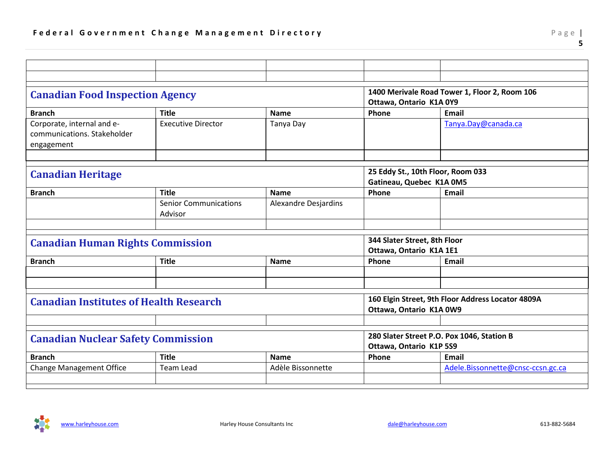<span id="page-5-2"></span><span id="page-5-1"></span><span id="page-5-0"></span>

| <b>Canadian Food Inspection Agency</b>        |                              | 1400 Merivale Road Tower 1, Floor 2, Room 106 |                                   |                                                   |  |
|-----------------------------------------------|------------------------------|-----------------------------------------------|-----------------------------------|---------------------------------------------------|--|
|                                               |                              |                                               | Ottawa, Ontario K1A 0Y9           |                                                   |  |
| <b>Branch</b>                                 | <b>Title</b>                 | <b>Name</b>                                   | Phone                             | Email                                             |  |
| Corporate, internal and e-                    | <b>Executive Director</b>    | Tanya Day                                     |                                   | Tanya.Day@canada.ca                               |  |
| communications. Stakeholder                   |                              |                                               |                                   |                                                   |  |
| engagement                                    |                              |                                               |                                   |                                                   |  |
|                                               |                              |                                               |                                   |                                                   |  |
|                                               |                              |                                               | 25 Eddy St., 10th Floor, Room 033 |                                                   |  |
| <b>Canadian Heritage</b>                      |                              |                                               | Gatineau, Quebec K1A 0M5          |                                                   |  |
| <b>Branch</b>                                 | <b>Title</b>                 | <b>Name</b>                                   | Phone                             | <b>Email</b>                                      |  |
|                                               | <b>Senior Communications</b> | <b>Alexandre Desjardins</b>                   |                                   |                                                   |  |
|                                               | Advisor                      |                                               |                                   |                                                   |  |
|                                               |                              |                                               |                                   |                                                   |  |
| <b>Canadian Human Rights Commission</b>       |                              |                                               | 344 Slater Street, 8th Floor      |                                                   |  |
|                                               |                              |                                               | Ottawa, Ontario K1A 1E1           |                                                   |  |
| <b>Branch</b>                                 | <b>Title</b>                 | <b>Name</b>                                   | Phone                             | Email                                             |  |
|                                               |                              |                                               |                                   |                                                   |  |
|                                               |                              |                                               |                                   |                                                   |  |
|                                               |                              |                                               |                                   | 160 Elgin Street, 9th Floor Address Locator 4809A |  |
| <b>Canadian Institutes of Health Research</b> |                              |                                               | Ottawa, Ontario K1A 0W9           |                                                   |  |
|                                               |                              |                                               |                                   |                                                   |  |
|                                               |                              |                                               |                                   |                                                   |  |
| <b>Canadian Nuclear Safety Commission</b>     |                              |                                               |                                   | 280 Slater Street P.O. Pox 1046, Station B        |  |
|                                               |                              |                                               | Ottawa, Ontario K1P 5S9           |                                                   |  |
| <b>Branch</b>                                 | <b>Title</b>                 | <b>Name</b>                                   | Phone                             | <b>Email</b>                                      |  |
| <b>Change Management Office</b>               | <b>Team Lead</b>             | Adèle Bissonnette                             |                                   | Adele.Bissonnette@cnsc-ccsn.gc.ca                 |  |
|                                               |                              |                                               |                                   |                                                   |  |

<span id="page-5-4"></span><span id="page-5-3"></span>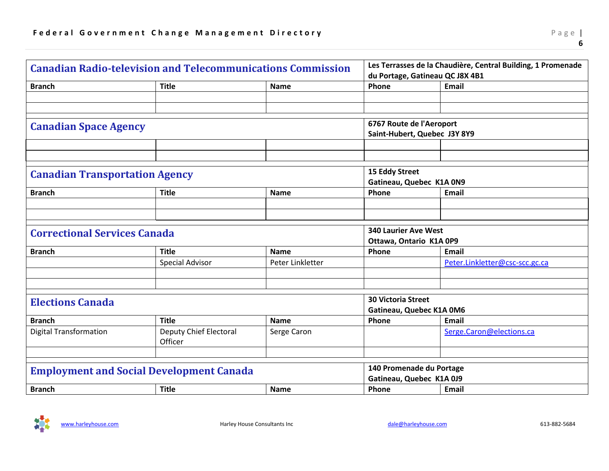<span id="page-6-3"></span><span id="page-6-2"></span><span id="page-6-1"></span><span id="page-6-0"></span>

| <b>Canadian Radio-television and Telecommunications Commission</b> |                                          | Les Terrasses de la Chaudière, Central Building, 1 Promenade<br>du Portage, Gatineau QC J8X 4B1 |                                                       |                                |  |
|--------------------------------------------------------------------|------------------------------------------|-------------------------------------------------------------------------------------------------|-------------------------------------------------------|--------------------------------|--|
| <b>Branch</b>                                                      | <b>Title</b>                             | <b>Name</b>                                                                                     | Phone                                                 | <b>Email</b>                   |  |
|                                                                    |                                          |                                                                                                 |                                                       |                                |  |
|                                                                    |                                          |                                                                                                 |                                                       |                                |  |
| <b>Canadian Space Agency</b>                                       |                                          |                                                                                                 | 6767 Route de l'Aeroport                              |                                |  |
|                                                                    |                                          |                                                                                                 | Saint-Hubert, Quebec J3Y 8Y9                          |                                |  |
|                                                                    |                                          |                                                                                                 |                                                       |                                |  |
|                                                                    |                                          |                                                                                                 |                                                       |                                |  |
|                                                                    |                                          |                                                                                                 | 15 Eddy Street                                        |                                |  |
| <b>Canadian Transportation Agency</b>                              |                                          |                                                                                                 | Gatineau, Quebec K1A 0N9                              |                                |  |
| <b>Branch</b>                                                      | <b>Title</b>                             | <b>Name</b>                                                                                     | Phone                                                 | Email                          |  |
|                                                                    |                                          |                                                                                                 |                                                       |                                |  |
|                                                                    |                                          |                                                                                                 |                                                       |                                |  |
| <b>Correctional Services Canada</b>                                |                                          | <b>340 Laurier Ave West</b>                                                                     |                                                       |                                |  |
|                                                                    |                                          |                                                                                                 | Ottawa, Ontario K1A 0P9                               |                                |  |
| <b>Branch</b>                                                      | <b>Title</b>                             | <b>Name</b>                                                                                     | Phone                                                 | <b>Email</b>                   |  |
|                                                                    | <b>Special Advisor</b>                   | Peter Linkletter                                                                                |                                                       | Peter.Linkletter@csc-scc.gc.ca |  |
|                                                                    |                                          |                                                                                                 |                                                       |                                |  |
|                                                                    |                                          |                                                                                                 |                                                       |                                |  |
| <b>Elections Canada</b>                                            |                                          |                                                                                                 | <b>30 Victoria Street</b><br>Gatineau, Quebec K1A 0M6 |                                |  |
| <b>Branch</b>                                                      | <b>Title</b>                             | <b>Name</b>                                                                                     | Phone                                                 | <b>Email</b>                   |  |
| <b>Digital Transformation</b>                                      | <b>Deputy Chief Electoral</b><br>Officer | Serge Caron                                                                                     |                                                       | Serge.Caron@elections.ca       |  |
|                                                                    |                                          |                                                                                                 |                                                       |                                |  |
| <b>Employment and Social Development Canada</b>                    |                                          |                                                                                                 | 140 Promenade du Portage                              |                                |  |
|                                                                    |                                          |                                                                                                 | Gatineau, Quebec K1A 0J9                              |                                |  |
| <b>Branch</b>                                                      | <b>Title</b>                             | <b>Name</b>                                                                                     | Phone                                                 | Email                          |  |

<span id="page-6-5"></span><span id="page-6-4"></span>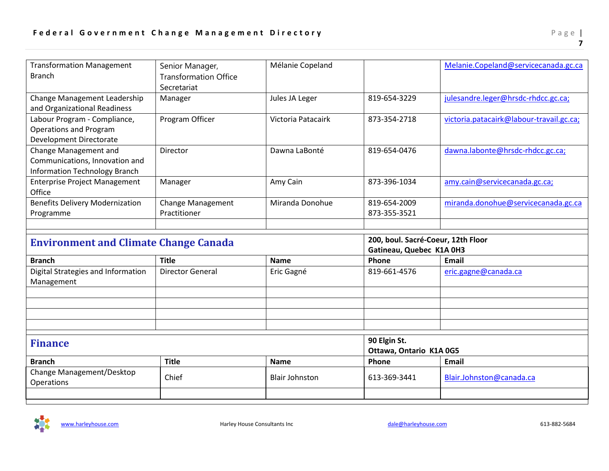<span id="page-7-0"></span>

| <b>Transformation Management</b><br><b>Branch</b>                                               | Senior Manager,<br><b>Transformation Office</b><br>Secretariat | Mélanie Copeland      |                                                                | Melanie.Copeland@servicecanada.gc.ca     |
|-------------------------------------------------------------------------------------------------|----------------------------------------------------------------|-----------------------|----------------------------------------------------------------|------------------------------------------|
| Change Management Leadership<br>and Organizational Readiness                                    | Manager                                                        | Jules JA Leger        | 819-654-3229                                                   | julesandre.leger@hrsdc-rhdcc.gc.ca;      |
| Labour Program - Compliance,<br><b>Operations and Program</b><br>Development Directorate        | Program Officer                                                | Victoria Patacairk    | 873-354-2718                                                   | victoria.patacairk@labour-travail.gc.ca; |
| Change Management and<br>Communications, Innovation and<br><b>Information Technology Branch</b> | Director                                                       | Dawna LaBonté         | 819-654-0476                                                   | dawna.labonte@hrsdc-rhdcc.gc.ca;         |
| <b>Enterprise Project Management</b><br>Office                                                  | Manager                                                        | Amy Cain              | 873-396-1034                                                   | amy.cain@servicecanada.gc.ca;            |
| <b>Benefits Delivery Modernization</b><br>Programme                                             | Change Management<br>Practitioner                              | Miranda Donohue       | 819-654-2009<br>873-355-3521                                   | miranda.donohue@servicecanada.gc.ca      |
| <b>Environment and Climate Change Canada</b>                                                    |                                                                |                       |                                                                |                                          |
|                                                                                                 |                                                                |                       | 200, boul. Sacré-Coeur, 12th Floor<br>Gatineau, Quebec K1A 0H3 |                                          |
| <b>Branch</b>                                                                                   | <b>Title</b>                                                   | <b>Name</b>           | Phone                                                          | Email                                    |
| Digital Strategies and Information<br>Management                                                | <b>Director General</b>                                        | Eric Gagné            | 819-661-4576                                                   | eric.gagne@canada.ca                     |
|                                                                                                 |                                                                |                       |                                                                |                                          |
|                                                                                                 |                                                                |                       |                                                                |                                          |
| <b>Finance</b>                                                                                  |                                                                |                       | 90 Elgin St.<br>Ottawa, Ontario K1A 0G5                        |                                          |
| <b>Branch</b>                                                                                   | <b>Title</b>                                                   | <b>Name</b>           | Phone                                                          | Email                                    |
| Change Management/Desktop<br>Operations                                                         | Chief                                                          | <b>Blair Johnston</b> | 613-369-3441                                                   | Blair.Johnston@canada.ca                 |

<span id="page-7-1"></span>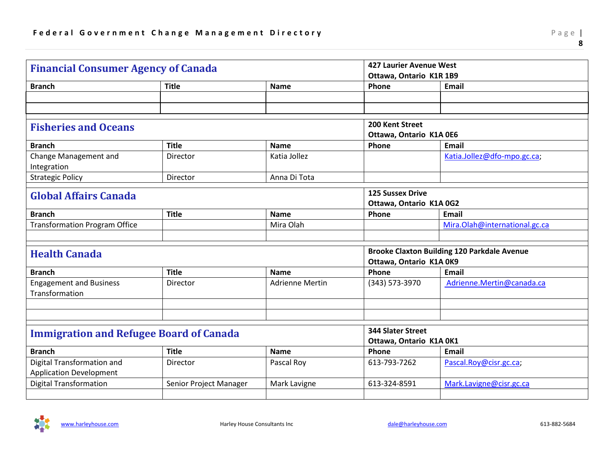<span id="page-8-2"></span><span id="page-8-1"></span><span id="page-8-0"></span>

| <b>Financial Consumer Agency of Canada</b>       |                        |                        | <b>427 Laurier Avenue West</b><br>Ottawa, Ontario K1R 1B9 |                               |  |
|--------------------------------------------------|------------------------|------------------------|-----------------------------------------------------------|-------------------------------|--|
| <b>Branch</b>                                    | <b>Title</b>           | Name                   | Phone                                                     | Email                         |  |
|                                                  |                        |                        |                                                           |                               |  |
|                                                  |                        |                        |                                                           |                               |  |
| <b>Fisheries and Oceans</b>                      |                        |                        | 200 Kent Street                                           |                               |  |
|                                                  |                        |                        | Ottawa, Ontario K1A 0E6                                   |                               |  |
| <b>Branch</b>                                    | <b>Title</b>           | <b>Name</b>            | Phone                                                     | <b>Email</b>                  |  |
| Change Management and<br>Integration             | Director               | Katia Jollez           |                                                           | Katia.Jollez@dfo-mpo.gc.ca;   |  |
| <b>Strategic Policy</b>                          | Director               | Anna Di Tota           |                                                           |                               |  |
| <b>Global Affairs Canada</b>                     |                        |                        | <b>125 Sussex Drive</b><br>Ottawa, Ontario K1A 0G2        |                               |  |
| <b>Branch</b>                                    | <b>Title</b>           | <b>Name</b>            | Phone                                                     | <b>Email</b>                  |  |
| <b>Transformation Program Office</b>             |                        | Mira Olah              |                                                           | Mira.Olah@international.gc.ca |  |
|                                                  |                        |                        |                                                           |                               |  |
| <b>Health Canada</b>                             |                        |                        | <b>Brooke Claxton Building 120 Parkdale Avenue</b>        |                               |  |
|                                                  |                        |                        | Ottawa, Ontario K1A 0K9                                   |                               |  |
| <b>Branch</b>                                    | <b>Title</b>           | <b>Name</b>            | Phone                                                     | <b>Email</b>                  |  |
| <b>Engagement and Business</b><br>Transformation | Director               | <b>Adrienne Mertin</b> | (343) 573-3970                                            | Adrienne.Mertin@canada.ca     |  |
|                                                  |                        |                        |                                                           |                               |  |
|                                                  |                        |                        |                                                           |                               |  |
| <b>Immigration and Refugee Board of Canada</b>   |                        |                        | <b>344 Slater Street</b>                                  |                               |  |
|                                                  |                        |                        | Ottawa, Ontario K1A 0K1                                   |                               |  |
| <b>Branch</b>                                    | <b>Title</b>           | <b>Name</b>            | Phone                                                     | <b>Email</b>                  |  |
| Digital Transformation and                       | Director               | Pascal Roy             | 613-793-7262                                              | Pascal.Roy@cisr.gc.ca;        |  |
| <b>Application Development</b>                   |                        |                        |                                                           |                               |  |
| <b>Digital Transformation</b>                    | Senior Project Manager | Mark Lavigne           | 613-324-8591                                              | Mark.Lavigne@cisr.gc.ca       |  |
|                                                  |                        |                        |                                                           |                               |  |

<span id="page-8-4"></span><span id="page-8-3"></span>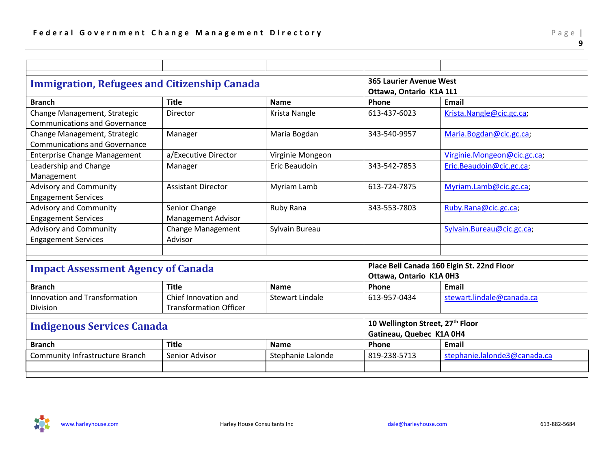<span id="page-9-0"></span>

|                                                     | <b>365 Laurier Avenue West</b> |                        |                                              |                                            |
|-----------------------------------------------------|--------------------------------|------------------------|----------------------------------------------|--------------------------------------------|
| <b>Immigration, Refugees and Citizenship Canada</b> |                                |                        | Ottawa, Ontario K1A 1L1                      |                                            |
| <b>Branch</b>                                       | <b>Title</b>                   | <b>Name</b>            | Phone                                        | Email                                      |
| Change Management, Strategic                        | Director                       | Krista Nangle          | 613-437-6023                                 | Krista.Nangle@cic.gc.ca;                   |
| <b>Communications and Governance</b>                |                                |                        |                                              |                                            |
| Change Management, Strategic                        | Manager                        | Maria Bogdan           | 343-540-9957                                 | Maria.Bogdan@cic.gc.ca;                    |
| Communications and Governance                       |                                |                        |                                              |                                            |
| <b>Enterprise Change Management</b>                 | a/Executive Director           | Virginie Mongeon       |                                              | Virginie.Mongeon@cic.gc.ca;                |
| Leadership and Change                               | Manager                        | Eric Beaudoin          | 343-542-7853                                 | Eric.Beaudoin@cic.gc.ca;                   |
| Management                                          |                                |                        |                                              |                                            |
| <b>Advisory and Community</b>                       | <b>Assistant Director</b>      | Myriam Lamb            | 613-724-7875                                 | Myriam.Lamb@cic.gc.ca;                     |
| <b>Engagement Services</b>                          |                                |                        |                                              |                                            |
| <b>Advisory and Community</b>                       | Senior Change                  | Ruby Rana              | 343-553-7803                                 | Ruby.Rana@cic.gc.ca;                       |
| <b>Engagement Services</b>                          | <b>Management Advisor</b>      |                        |                                              |                                            |
| <b>Advisory and Community</b>                       | <b>Change Management</b>       | Sylvain Bureau         |                                              | Sylvain.Bureau@cic.gc.ca;                  |
| <b>Engagement Services</b>                          | Advisor                        |                        |                                              |                                            |
|                                                     |                                |                        |                                              |                                            |
|                                                     |                                |                        |                                              | Place Bell Canada 160 Elgin St. 22nd Floor |
| <b>Impact Assessment Agency of Canada</b>           |                                |                        | Ottawa, Ontario K1A 0H3                      |                                            |
| <b>Branch</b>                                       | <b>Title</b>                   | <b>Name</b>            | Phone                                        | Email                                      |
| <b>Innovation and Transformation</b>                | Chief Innovation and           | <b>Stewart Lindale</b> | 613-957-0434                                 | stewart.lindale@canada.ca                  |
| Division                                            | <b>Transformation Officer</b>  |                        |                                              |                                            |
|                                                     |                                |                        | 10 Wellington Street, 27 <sup>th</sup> Floor |                                            |
| <b>Indigenous Services Canada</b>                   |                                |                        | Gatineau, Quebec K1A 0H4                     |                                            |
| <b>Branch</b>                                       | <b>Title</b>                   | <b>Name</b>            | Phone                                        | Email                                      |
| <b>Community Infrastructure Branch</b>              | Senior Advisor                 | Stephanie Lalonde      | 819-238-5713                                 | stephanie.lalonde3@canada.ca               |
|                                                     |                                |                        |                                              |                                            |
|                                                     |                                |                        |                                              |                                            |

<span id="page-9-2"></span><span id="page-9-1"></span>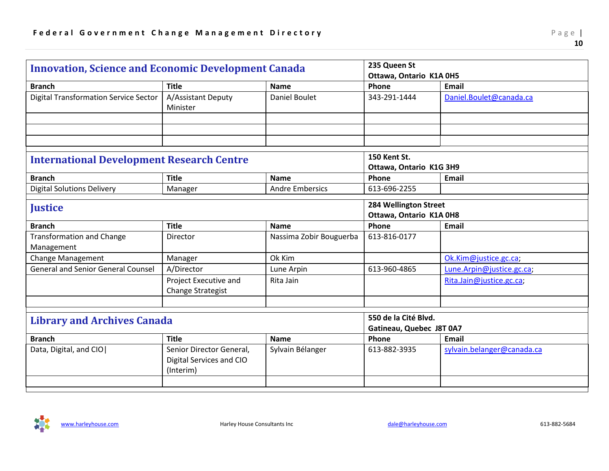<span id="page-10-2"></span><span id="page-10-1"></span><span id="page-10-0"></span>

| <b>Innovation, Science and Economic Development Canada</b> |                                                                   |                                                | 235 Queen St<br>Ottawa, Ontario K1A 0H5          |                            |  |
|------------------------------------------------------------|-------------------------------------------------------------------|------------------------------------------------|--------------------------------------------------|----------------------------|--|
| <b>Branch</b>                                              | <b>Title</b>                                                      | <b>Name</b>                                    | Phone                                            | Email                      |  |
| <b>Digital Transformation Service Sector</b>               | A/Assistant Deputy<br>Minister                                    | <b>Daniel Boulet</b>                           | 343-291-1444                                     | Daniel.Boulet@canada.ca    |  |
|                                                            |                                                                   |                                                |                                                  |                            |  |
|                                                            |                                                                   |                                                |                                                  |                            |  |
| <b>International Development Research Centre</b>           |                                                                   | <b>150 Kent St.</b><br>Ottawa, Ontario K1G 3H9 |                                                  |                            |  |
| <b>Branch</b>                                              | <b>Title</b>                                                      | <b>Name</b>                                    | Phone                                            | Email                      |  |
| <b>Digital Solutions Delivery</b>                          | Manager                                                           | <b>Andre Embersics</b>                         | 613-696-2255                                     |                            |  |
| <b>Justice</b>                                             |                                                                   |                                                | 284 Wellington Street<br>Ottawa, Ontario K1A 0H8 |                            |  |
| <b>Branch</b>                                              | <b>Title</b>                                                      | <b>Name</b>                                    | Phone                                            | <b>Email</b>               |  |
| <b>Transformation and Change</b><br>Management             | Director                                                          | Nassima Zobir Bouguerba                        | 613-816-0177                                     |                            |  |
| Change Management                                          | Manager                                                           | Ok Kim                                         |                                                  | Ok.Kim@justice.gc.ca;      |  |
| <b>General and Senior General Counsel</b>                  | A/Director                                                        | Lune Arpin                                     | 613-960-4865                                     | Lune.Arpin@justice.gc.ca;  |  |
|                                                            | Project Executive and<br>Change Strategist                        | Rita Jain                                      |                                                  | Rita.Jain@justice.gc.ca;   |  |
|                                                            |                                                                   |                                                |                                                  |                            |  |
| <b>Library and Archives Canada</b>                         |                                                                   |                                                | 550 de la Cité Blvd.<br>Gatineau, Quebec J8T 0A7 |                            |  |
| <b>Branch</b>                                              | <b>Title</b>                                                      | <b>Name</b>                                    | Phone                                            | Email                      |  |
| Data, Digital, and CIO                                     | Senior Director General,<br>Digital Services and CIO<br>(Interim) | Sylvain Bélanger                               | 613-882-3935                                     | sylvain.belanger@canada.ca |  |
|                                                            |                                                                   |                                                |                                                  |                            |  |

<span id="page-10-3"></span>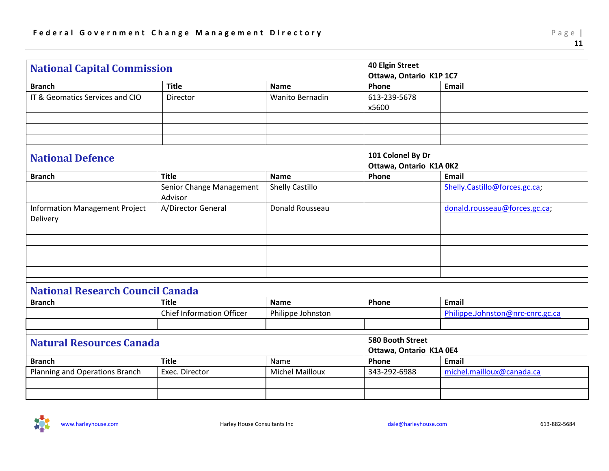<span id="page-11-1"></span><span id="page-11-0"></span>

| <b>National Capital Commission</b>                |                                     |                        | <b>40 Elgin Street</b><br>Ottawa, Ontario K1P 1C7 |                                  |
|---------------------------------------------------|-------------------------------------|------------------------|---------------------------------------------------|----------------------------------|
| <b>Branch</b>                                     | <b>Title</b>                        | <b>Name</b>            | Phone                                             | Email                            |
| IT & Geomatics Services and CIO                   | Director                            | <b>Wanito Bernadin</b> | 613-239-5678<br>x5600                             |                                  |
|                                                   |                                     |                        |                                                   |                                  |
| <b>National Defence</b>                           |                                     |                        | 101 Colonel By Dr<br>Ottawa, Ontario K1A 0K2      |                                  |
| <b>Branch</b>                                     | <b>Title</b>                        | <b>Name</b>            | Phone                                             | <b>Email</b>                     |
|                                                   | Senior Change Management<br>Advisor | <b>Shelly Castillo</b> |                                                   | Shelly.Castillo@forces.gc.ca;    |
| <b>Information Management Project</b><br>Delivery | A/Director General                  | Donald Rousseau        |                                                   | donald.rousseau@forces.gc.ca;    |
|                                                   |                                     |                        |                                                   |                                  |
|                                                   |                                     |                        |                                                   |                                  |
|                                                   |                                     |                        |                                                   |                                  |
| <b>National Research Council Canada</b>           |                                     |                        |                                                   |                                  |
| <b>Branch</b>                                     | <b>Title</b>                        | <b>Name</b>            | Phone                                             | Email                            |
|                                                   | <b>Chief Information Officer</b>    | Philippe Johnston      |                                                   | Philippe.Johnston@nrc-cnrc.gc.ca |
|                                                   |                                     |                        | <b>580 Booth Street</b>                           |                                  |
| <b>Natural Resources Canada</b>                   |                                     |                        | Ottawa, Ontario K1A 0E4                           |                                  |
| <b>Branch</b>                                     | <b>Title</b>                        | Name                   | Phone                                             | <b>Email</b>                     |
| Planning and Operations Branch                    | Exec. Director                      | <b>Michel Mailloux</b> | 343-292-6988                                      | michel.mailloux@canada.ca        |
|                                                   |                                     |                        |                                                   |                                  |

<span id="page-11-3"></span><span id="page-11-2"></span>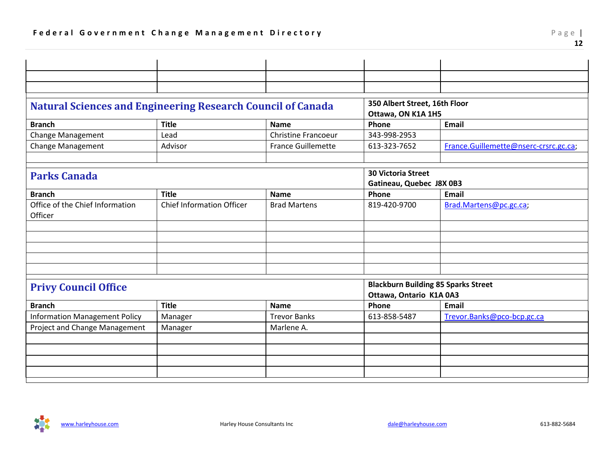<span id="page-12-1"></span><span id="page-12-0"></span>

| 350 Albert Street, 16th Floor<br><b>Natural Sciences and Engineering Research Council of Canada</b><br>Ottawa, ON K1A 1H5<br><b>Title</b><br><b>Email</b><br><b>Branch</b><br>Phone<br><b>Name</b><br>Change Management<br><b>Christine Francoeur</b><br>343-998-2953<br>Lead |                             |         |                           |              |                                       |  |
|-------------------------------------------------------------------------------------------------------------------------------------------------------------------------------------------------------------------------------------------------------------------------------|-----------------------------|---------|---------------------------|--------------|---------------------------------------|--|
|                                                                                                                                                                                                                                                                               |                             |         |                           |              |                                       |  |
|                                                                                                                                                                                                                                                                               |                             |         |                           |              |                                       |  |
|                                                                                                                                                                                                                                                                               |                             |         |                           |              |                                       |  |
|                                                                                                                                                                                                                                                                               |                             |         |                           |              |                                       |  |
|                                                                                                                                                                                                                                                                               |                             |         |                           |              |                                       |  |
|                                                                                                                                                                                                                                                                               | <b>Change Management</b>    | Advisor | <b>France Guillemette</b> | 613-323-7652 | France.Guillemette@nserc-crsrc.gc.ca; |  |
|                                                                                                                                                                                                                                                                               |                             |         |                           |              |                                       |  |
| <b>30 Victoria Street</b><br><b>Parks Canada</b><br>Gatineau, Quebec J8X 0B3                                                                                                                                                                                                  |                             |         |                           |              |                                       |  |
| <b>Title</b><br><b>Branch</b><br><b>Name</b><br>Phone<br>Email                                                                                                                                                                                                                |                             |         |                           |              |                                       |  |
| Office of the Chief Information<br><b>Chief Information Officer</b><br><b>Brad Martens</b><br>819-420-9700<br>Brad.Martens@pc.gc.ca;<br>Officer                                                                                                                               |                             |         |                           |              |                                       |  |
|                                                                                                                                                                                                                                                                               |                             |         |                           |              |                                       |  |
|                                                                                                                                                                                                                                                                               |                             |         |                           |              |                                       |  |
|                                                                                                                                                                                                                                                                               |                             |         |                           |              |                                       |  |
|                                                                                                                                                                                                                                                                               |                             |         |                           |              |                                       |  |
|                                                                                                                                                                                                                                                                               |                             |         |                           |              |                                       |  |
| <b>Blackburn Building 85 Sparks Street</b>                                                                                                                                                                                                                                    | <b>Privy Council Office</b> |         |                           |              |                                       |  |
| Ottawa, Ontario K1A 0A3                                                                                                                                                                                                                                                       |                             |         |                           |              |                                       |  |
| <b>Title</b><br><b>Branch</b><br><b>Name</b><br>Phone<br>Email                                                                                                                                                                                                                |                             |         |                           |              |                                       |  |
| <b>Trevor Banks</b><br><b>Information Management Policy</b><br>613-858-5487<br>Trevor.Banks@pco-bcp.gc.ca<br>Manager                                                                                                                                                          |                             |         |                           |              |                                       |  |
| Project and Change Management<br>Marlene A.<br>Manager                                                                                                                                                                                                                        |                             |         |                           |              |                                       |  |
|                                                                                                                                                                                                                                                                               |                             |         |                           |              |                                       |  |
|                                                                                                                                                                                                                                                                               |                             |         |                           |              |                                       |  |
|                                                                                                                                                                                                                                                                               |                             |         |                           |              |                                       |  |
|                                                                                                                                                                                                                                                                               |                             |         |                           |              |                                       |  |

<span id="page-12-2"></span>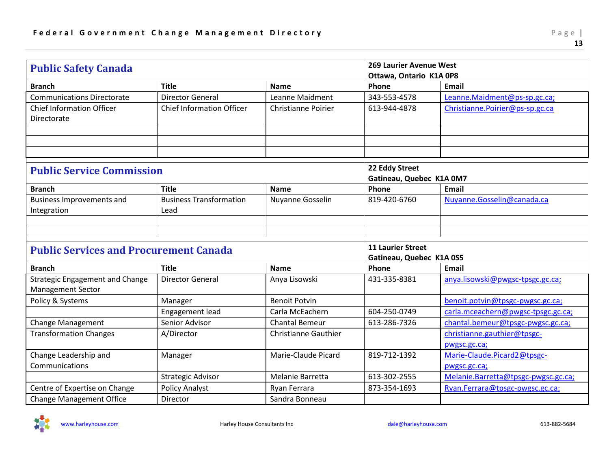<span id="page-13-1"></span><span id="page-13-0"></span>

| <b>Public Safety Canada</b>                                        |                                        |                             | <b>269 Laurier Avenue West</b><br>Ottawa, Ontario K1A 0P8 |                                             |  |
|--------------------------------------------------------------------|----------------------------------------|-----------------------------|-----------------------------------------------------------|---------------------------------------------|--|
| <b>Branch</b>                                                      | <b>Title</b>                           | <b>Name</b>                 | Phone                                                     | <b>Email</b>                                |  |
| <b>Communications Directorate</b>                                  | <b>Director General</b>                | Leanne Maidment             | 343-553-4578                                              | Leanne.Maidment@ps-sp.gc.ca;                |  |
| <b>Chief Information Officer</b><br>Directorate                    | <b>Chief Information Officer</b>       | <b>Christianne Poirier</b>  | 613-944-4878                                              | Christianne.Poirier@ps-sp.gc.ca             |  |
|                                                                    |                                        |                             |                                                           |                                             |  |
| <b>Public Service Commission</b>                                   |                                        |                             | 22 Eddy Street<br>Gatineau, Quebec K1A 0M7                |                                             |  |
| <b>Branch</b>                                                      | <b>Title</b>                           | <b>Name</b>                 | Phone                                                     | <b>Email</b>                                |  |
| <b>Business Improvements and</b><br>Integration                    | <b>Business Transformation</b><br>Lead | Nuyanne Gosselin            | 819-420-6760                                              | Nuyanne.Gosselin@canada.ca                  |  |
| <b>Public Services and Procurement Canada</b>                      |                                        |                             | <b>11 Laurier Street</b>                                  |                                             |  |
|                                                                    |                                        |                             | Gatineau, Quebec K1A 0S5                                  |                                             |  |
| <b>Branch</b>                                                      | <b>Title</b>                           | <b>Name</b>                 | Phone                                                     | <b>Email</b>                                |  |
| <b>Strategic Engagement and Change</b><br><b>Management Sector</b> | <b>Director General</b>                | Anya Lisowski               | 431-335-8381                                              | anya.lisowski@pwgsc-tpsgc.gc.ca;            |  |
| Policy & Systems                                                   | Manager                                | <b>Benoit Potvin</b>        |                                                           | benoit.potvin@tpsgc-pwgsc.gc.ca;            |  |
|                                                                    | Engagement lead                        | Carla McEachern             | 604-250-0749                                              | carla.mceachern@pwgsc-tpsgc.gc.ca;          |  |
| <b>Change Management</b>                                           | Senior Advisor                         | <b>Chantal Bemeur</b>       | 613-286-7326                                              | chantal.bemeur@tpsgc-pwgsc.gc.ca;           |  |
| <b>Transformation Changes</b>                                      | A/Director                             | <b>Christianne Gauthier</b> |                                                           | christianne.gauthier@tpsgc-<br>pwgsc.gc.ca; |  |
| Change Leadership and<br>Communications                            | Manager                                | Marie-Claude Picard         | 819-712-1392                                              | Marie-Claude.Picard2@tpsgc-<br>pwgsc.gc.ca; |  |
|                                                                    | <b>Strategic Advisor</b>               | Melanie Barretta            | 613-302-2555                                              | Melanie.Barretta@tpsgc-pwgsc.gc.ca;         |  |
| Centre of Expertise on Change                                      | <b>Policy Analyst</b>                  | Ryan Ferrara                | 873-354-1693                                              | Ryan.Ferrara@tpsgc-pwgsc.gc.ca;             |  |
| <b>Change Management Office</b>                                    | Director                               | Sandra Bonneau              |                                                           |                                             |  |

<span id="page-13-2"></span>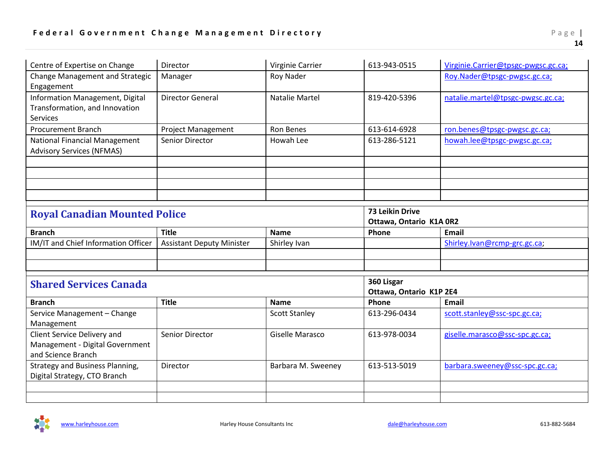<span id="page-14-0"></span>

| Centre of Expertise on Change                                                        | Director                         | Virginie Carrier     | 613-943-0515                               | Virginie.Carrier@tpsgc-pwgsc.gc.ca; |  |
|--------------------------------------------------------------------------------------|----------------------------------|----------------------|--------------------------------------------|-------------------------------------|--|
| Change Management and Strategic<br>Engagement                                        | Manager                          | <b>Roy Nader</b>     |                                            | Roy.Nader@tpsgc-pwgsc.gc.ca;        |  |
| Information Management, Digital<br>Transformation, and Innovation<br><b>Services</b> | <b>Director General</b>          | Natalie Martel       | 819-420-5396                               | natalie.martel@tpsgc-pwgsc.gc.ca;   |  |
| <b>Procurement Branch</b>                                                            | <b>Project Management</b>        | <b>Ron Benes</b>     | 613-614-6928                               | ron.benes@tpsgc-pwgsc.gc.ca;        |  |
| <b>National Financial Management</b><br><b>Advisory Services (NFMAS)</b>             | Senior Director                  | Howah Lee            | 613-286-5121                               | howah.lee@tpsgc-pwgsc.gc.ca;        |  |
|                                                                                      |                                  |                      |                                            |                                     |  |
|                                                                                      |                                  |                      |                                            |                                     |  |
|                                                                                      |                                  |                      |                                            |                                     |  |
|                                                                                      |                                  |                      |                                            |                                     |  |
| <b>Royal Canadian Mounted Police</b>                                                 |                                  |                      | 73 Leikin Drive<br>Ottawa, Ontario K1A 0R2 |                                     |  |
| <b>Branch</b>                                                                        | <b>Title</b>                     | <b>Name</b>          | Phone                                      | Email                               |  |
| IM/IT and Chief Information Officer                                                  | <b>Assistant Deputy Minister</b> | Shirley Ivan         |                                            | Shirley.lvan@rcmp-grc.gc.ca;        |  |
|                                                                                      |                                  |                      |                                            |                                     |  |
|                                                                                      |                                  |                      |                                            |                                     |  |
| <b>Shared Services Canada</b>                                                        |                                  |                      | 360 Lisgar<br>Ottawa, Ontario K1P 2E4      |                                     |  |
| <b>Branch</b>                                                                        | <b>Title</b>                     | <b>Name</b>          | Phone                                      | Email                               |  |
| Service Management - Change<br>Management                                            |                                  | <b>Scott Stanley</b> | 613-296-0434                               | scott.stanley@ssc-spc.gc.ca;        |  |
| Client Service Delivery and<br>Management - Digital Government<br>and Science Branch | Senior Director                  | Giselle Marasco      | 613-978-0034                               | giselle.marasco@ssc-spc.gc.ca;      |  |
| <b>Strategy and Business Planning,</b><br>Digital Strategy, CTO Branch               | Director                         | Barbara M. Sweeney   | 613-513-5019                               | barbara.sweeney@ssc-spc.gc.ca;      |  |
|                                                                                      |                                  |                      |                                            |                                     |  |
|                                                                                      |                                  |                      |                                            |                                     |  |

<span id="page-14-1"></span>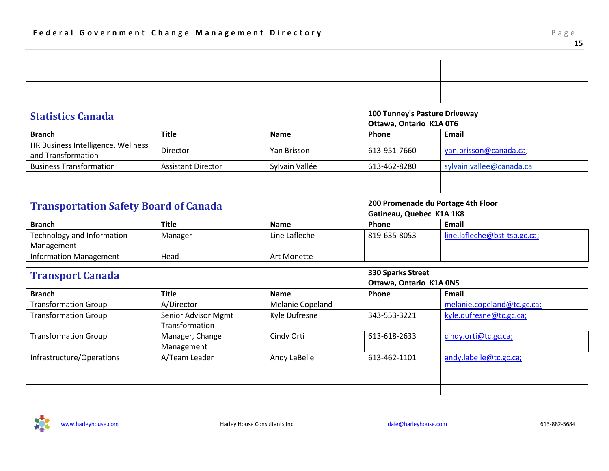<span id="page-15-1"></span><span id="page-15-0"></span>

| <b>Statistics Canada</b>                                 |                                       |                  | 100 Tunney's Pasture Driveway |                                    |  |
|----------------------------------------------------------|---------------------------------------|------------------|-------------------------------|------------------------------------|--|
|                                                          |                                       |                  | Ottawa, Ontario K1A 0T6       |                                    |  |
| <b>Branch</b>                                            | <b>Title</b>                          | <b>Name</b>      | Phone                         | <b>Email</b>                       |  |
| HR Business Intelligence, Wellness<br>and Transformation | Director                              | Yan Brisson      | 613-951-7660                  | yan.brisson@canada.ca;             |  |
| <b>Business Transformation</b>                           | <b>Assistant Director</b>             | Sylvain Vallée   | 613-462-8280                  | sylvain.vallee@canada.ca           |  |
|                                                          |                                       |                  |                               |                                    |  |
|                                                          |                                       |                  |                               |                                    |  |
| <b>Transportation Safety Board of Canada</b>             |                                       |                  |                               | 200 Promenade du Portage 4th Floor |  |
|                                                          |                                       |                  | Gatineau, Quebec K1A 1K8      |                                    |  |
| <b>Branch</b>                                            | <b>Title</b>                          | <b>Name</b>      | Phone                         | <b>Email</b>                       |  |
| Technology and Information<br>Management                 | Manager                               | Line Laflèche    | 819-635-8053                  | line.lafleche@bst-tsb.gc.ca;       |  |
| <b>Information Management</b>                            | Head                                  | Art Monette      |                               |                                    |  |
|                                                          |                                       |                  | 330 Sparks Street             |                                    |  |
| <b>Transport Canada</b>                                  |                                       |                  | Ottawa, Ontario K1A 0N5       |                                    |  |
| <b>Branch</b>                                            | <b>Title</b>                          | <b>Name</b>      | Phone                         | <b>Email</b>                       |  |
| <b>Transformation Group</b>                              | A/Director                            | Melanie Copeland |                               | melanie.copeland@tc.gc.ca;         |  |
| <b>Transformation Group</b>                              | Senior Advisor Mgmt<br>Transformation | Kyle Dufresne    | 343-553-3221                  | kyle.dufresne@tc.gc.ca;            |  |
| <b>Transformation Group</b>                              | Manager, Change<br>Management         | Cindy Orti       | 613-618-2633                  | cindy.orti@tc.gc.ca;               |  |
| Infrastructure/Operations                                | A/Team Leader                         | Andy LaBelle     | 613-462-1101                  | andy.labelle@tc.gc.ca;             |  |
|                                                          |                                       |                  |                               |                                    |  |
|                                                          |                                       |                  |                               |                                    |  |
|                                                          |                                       |                  |                               |                                    |  |
|                                                          |                                       |                  |                               |                                    |  |

<span id="page-15-2"></span>